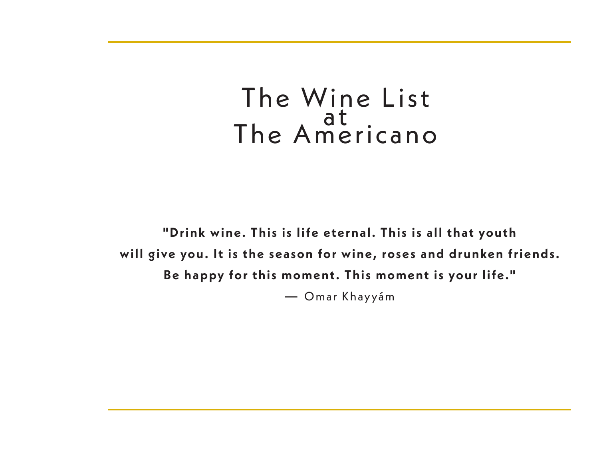# The Wine List The Americano

**"Drink wine. This is life eternal. This is all that youth will give you. It is the season for wine, roses and drunken friends. Be happy for this moment. This moment is your life."** — Omar Khayyám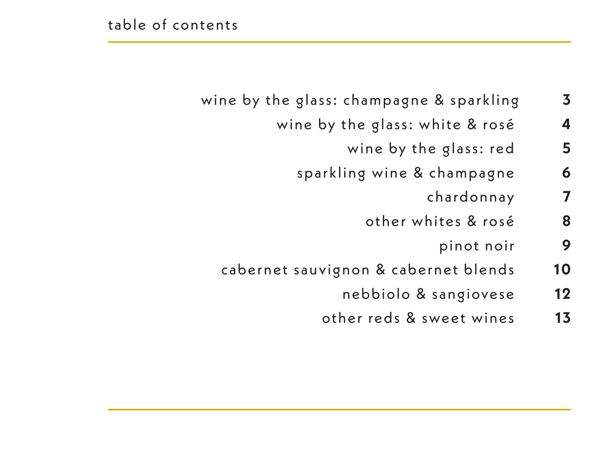- wine by the glass: champagne & sparkling **3** 
	- wine by the glass: white & rosé **4**
		- wine by the glass: red 5
		- sparkling wine & champagne **6**
			- chardonnay **7**
			- other whites & rosé **8**
				- pinot noir **9**
	- cabernet sauvignon & cabernet blends **1 0**
		- nebbiolo & sangiovese **1 2**
		- other reds & sweet wines **1 3**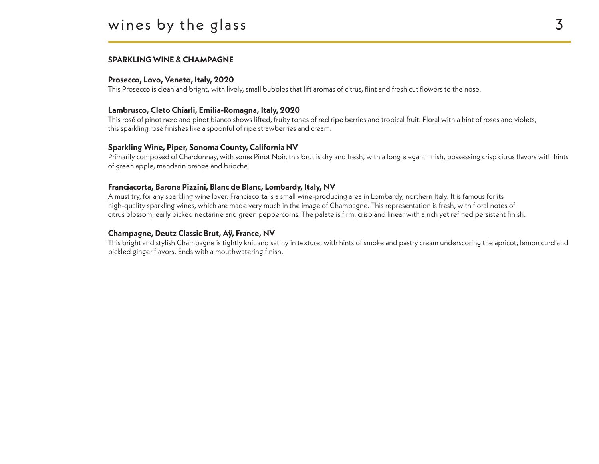#### **SPARKLING WINE & CHAMPAGNE**

#### **Prosecco, Lovo, Veneto, Italy, 2020**

This Prosecco is clean and bright, with lively, small bubbles that lift aromas of citrus, flint and fresh cut flowers to the nose.

#### **Lambrusco, Cleto Chiarli, Emilia-Romagna, Italy, 2020**

This rosé of pinot nero and pinot bianco shows lifted, fruity tones of red ripe berries and tropical fruit. Floral with a hint of roses and violets, this sparkling rosé finishes like a spoonful of ripe strawberries and cream.

#### **Sparkling Wine, Piper, Sonoma County, California NV**

Primarily composed of Chardonnay, with some Pinot Noir, this brut is dry and fresh, with a long elegant finish, possessing crisp citrus flavors with hints of green apple, mandarin orange and brioche.

#### **Franciacorta, Barone Pizzini, Blanc de Blanc, Lombardy, Italy, NV**

A must try, for any sparkling wine lover. Franciacorta is a small wine-producing area in Lombardy, northern Italy. It is famous for its high-quality sparkling wines, which are made very much in the image of Champagne. This representation is fresh, with floral notes of citrus blossom, early picked nectarine and green peppercorns. The palate is firm, crisp and linear with a rich yet refined persistent finish.

#### **Champagne, Deutz Classic Brut, Aÿ, France, NV**

This bright and stylish Champagne is tightly knit and satiny in texture, with hints of smoke and pastry cream underscoring the apricot, lemon curd and pickled ginger flavors. Ends with a mouthwatering finish.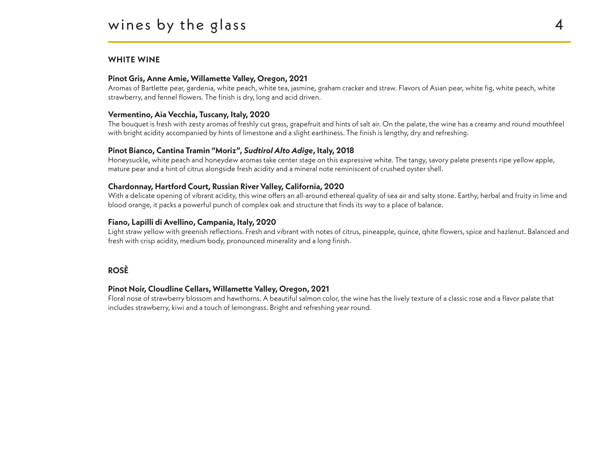#### **WHITE WINE**

#### **Pinot Gris, Anne Amie, Willamette Valley, Oregon, 2021**

Aromas of Bartlette pear, gardenia, white peach, white tea, jasmine, graham cracker and straw. Flavors of Asian pear, white fig, white peach, white strawberry, and fennel flowers. The finish is dry, long and acid driven.

#### **Vermentino, Aia Vecchia, Tuscany, Italy, 2020**

The bouquet is fresh with zesty aromas of freshly cut grass, grapefruit and hints of salt air. On the palate, the wine has a creamy and round mouthfeel with bright acidity accompanied by hints of limestone and a slight earthiness. The finish is lengthy, dry and refreshing.

#### **Pinot Bianco, Cantina Tramin "Moriz",** *Sudtirol Alto Adige***, Italy, 2018**

Honeysuckle, white peach and honeydew aromas take center stage on this expressive white. The tangy, savory palate presents ripe yellow apple, mature pear and a hint of citrus alongside fresh acidity and a mineral note reminiscent of crushed oyster shell.

#### **Chardonnay, Hartford Court, Russian River Valley, California, 2020**

With a delicate opening of vibrant acidity, this wine offers an all-around ethereal quality of sea air and salty stone. Earthy, herbal and fruity in lime and blood orange, it packs a powerful punch of complex oak and structure that finds its way to a place of balance.

#### **Fiano, Lapilli di Avellino, Campania, Italy, 2020**

Light straw yellow with greenish reflections. Fresh and vibrant with notes of citrus, pineapple, quince, qhite flowers, spice and hazlenut. Balanced and fresh with crisp acidity, medium body, pronounced minerality and a long finish.

#### **ROSÈ**

#### **Pinot Noir, Cloudline Cellars, Willamette Valley, Oregon, 2021**

Floral nose of strawberry blossom and hawthorns. A beautiful salmon color, the wine has the lively texture of a classic rose and a flavor palate that includes strawberry, kiwi and a touch of lemongrass. Bright and refreshing year round.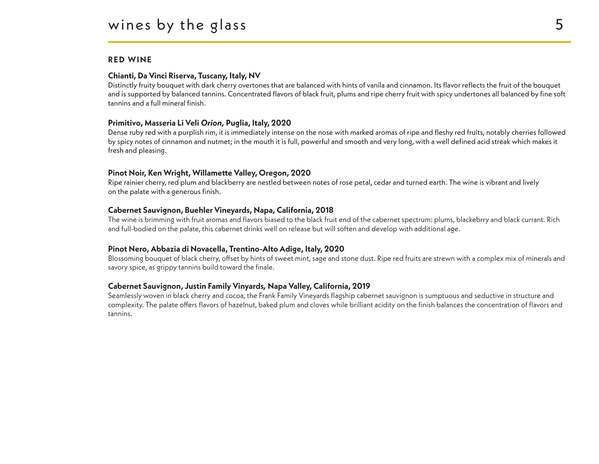#### **RED WINE**

#### **Chianti, Da Vinci Riserva, Tuscany, Italy, NV**

Distinctly fruity bouquet with dark cherry overtones that are balanced with hints of vanila and cinnamon. Its flavor reflects the fruit of the bouquet and is supported by balanced tannins. Concentrated flavors of black fruit, plums and ripe cherry fruit with spicy undertones all balanced by fine soft tannins and a full mineral finish.

#### **Primitivo, Masseria Li Veli** *Orion,* **Puglia, Italy, 2020**

Dense ruby red with a purplish rim, it is immediately intense on the nose with marked aromas of ripe and fleshy red fruits, notably cherries followed by spicy notes of cinnamon and nutmet; in the mouth it is full, powerful and smooth and very long, with a well defined acid streak which makes it fresh and pleasing.

#### **Pinot Noir, Ken Wright, Willamette Valley, Oregon, 2020**

Ripe rainier cherry, red plum and blackberry are nestled between notes of rose petal, cedar and turned earth. The wine is vibrant and lively on the palate with a generous finish.

#### **Cabernet Sauvignon, Buehler Vineyards, Napa, California, 2018**

The wine is brimming with fruit aromas and flavors biased to the black fruit end of the cabernet spectrum: plums, blackebrry and black currant. Rich and full-bodied on the palate, this cabernet drinks well on release but will soften and develop with additional age.

#### **Pinot Nero, Abbazia di Novacella, Trentino-Alto Adige, Italy, 2020**

Blossoming bouquet of black cherry, offset by hints of sweet mint, sage and stone dust. Ripe red fruits are strewn with a complex mix of minerals and savory spice, as grippy tannins build toward the finale.

#### **Cabernet Sauvignon, Justin Family Vinyards***,* **Napa Valley, California, 2019**

Seamlessly woven in black cherry and cocoa, the Frank Family Vineyards flagship cabernet sauvignon is sumptuous and seductive in structure and complexity. The palate offers flavors of hazelnut, baked plum and cloves while brilliant acidity on the finish balances the concentration of flavors and tannins.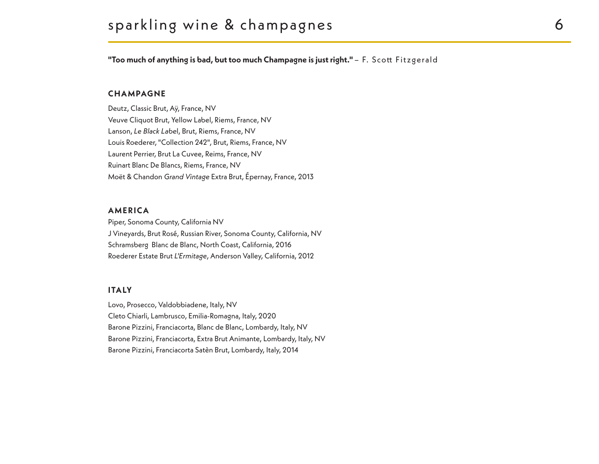"Too much of anything is bad, but too much Champagne is just right." - F. Scott Fitzgerald

#### **CHAMPAGNE**

Deutz, Classic Brut, Aÿ, France, NV Veuve Cliquot Brut, Yellow Label, Riems, France, NV Lanson, *Le Black Labe*l, Brut, Riems, France, NV Louis Roederer, "Collection 242", Brut, Riems, France, NV Laurent Perrier, Brut La Cuvee, Reims, France, NV Ruinart Blanc De Blancs, Riems, France, NV Moët & Chandon *Grand Vintage* Extra Brut, Épernay, France, 2013

#### **AMERICA**

Piper, Sonoma County, California NV J Vineyards, Brut Rosé, Russian River, Sonoma County, California, NV Schramsberg Blanc de Blanc, North Coast, California, 2016 Roederer Estate Brut *L'Ermitage*, Anderson Valley, California, 2012

#### **I TA LY**

Lovo, Prosecco, Valdobbiadene, Italy, NV Cleto Chiarli, Lambrusco, Emilia-Romagna, Italy, 2020 Barone Pizzini, Franciacorta, Blanc de Blanc, Lombardy, Italy, NV Barone Pizzini, Franciacorta, Extra Brut Animante, Lombardy, Italy, NV Barone Pizzini, Franciacorta Satèn Brut, Lombardy, Italy, 2014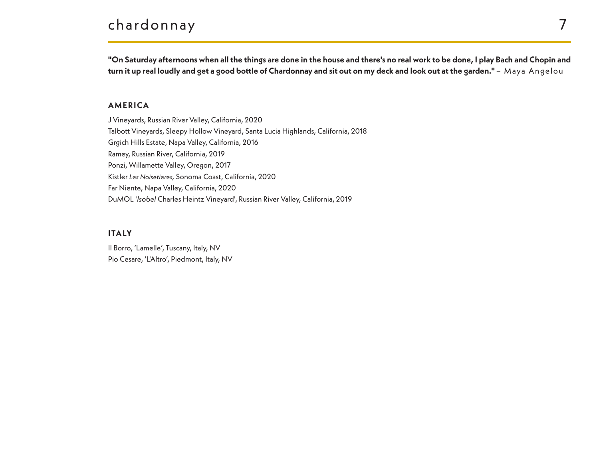# chardonnay 7

**"On Saturday afternoons when all the things are done in the house and there's no real work to be done, I play Bach and Chopin and**  turn it up real loudly and get a good bottle of Chardonnay and sit out on my deck and look out at the garden." - Maya Angelou

#### **AMERICA**

J Vineyards, Russian River Valley, California, 2020 Talbott Vineyards, Sleepy Hollow Vineyard, Santa Lucia Highlands, California, 2018 Grgich Hills Estate, Napa Valley, California, 2016 Ramey, Russian River, California, 2019 Ponzi, Willamette Valley, Oregon, 2017 Kistler *Les Noisetieres,* Sonoma Coast, California, 2020 Far Niente, Napa Valley, California, 2020 DuMOL '*Isobel* Charles Heintz Vineyard', Russian River Valley, California, 2019

#### **I TA LY**

Il Borro, 'Lamelle', Tuscany, Italy, NV Pio Cesare, 'L'Altro', Piedmont, Italy, NV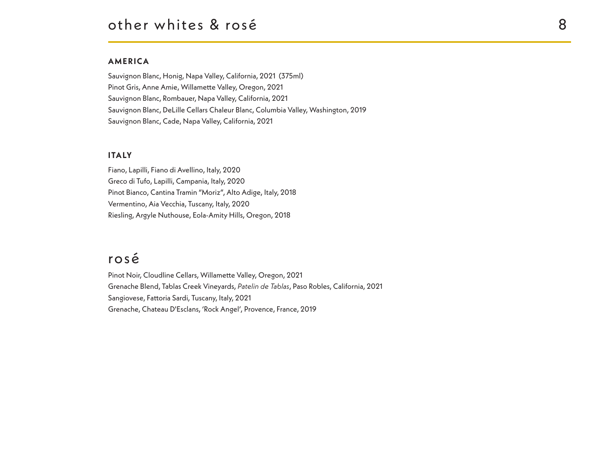#### **AMERICA**

Sauvignon Blanc, Honig, Napa Valley, California, 2021 (375ml) Pinot Gris, Anne Amie, Willamette Valley, Oregon, 2021 Sauvignon Blanc, Rombauer, Napa Valley, California, 2021 Sauvignon Blanc, DeLille Cellars Chaleur Blanc, Columbia Valley, Washington, 2019 Sauvignon Blanc, Cade, Napa Valley, California, 2021

#### **I TA LY**

Fiano, Lapilli, Fiano di Avellino, Italy, 2020 Greco di Tufo, Lapilli, Campania, Italy, 2020 Pinot Bianco, Cantina Tramin "Moriz", Alto Adige, Italy, 2018 Vermentino, Aia Vecchia, Tuscany, Italy, 2020 Riesling, Argyle Nuthouse, Eola-Amity Hills, Oregon, 2018

## rosé

Pinot Noir, Cloudline Cellars, Willamette Valley, Oregon, 2021 Grenache Blend, Tablas Creek Vineyards, *Patelin de Tablas*, Paso Robles, California, 2021 Sangiovese, Fattoria Sardi, Tuscany, Italy, 2021 Grenache, Chateau D'Esclans, 'Rock Angel', Provence, France, 2019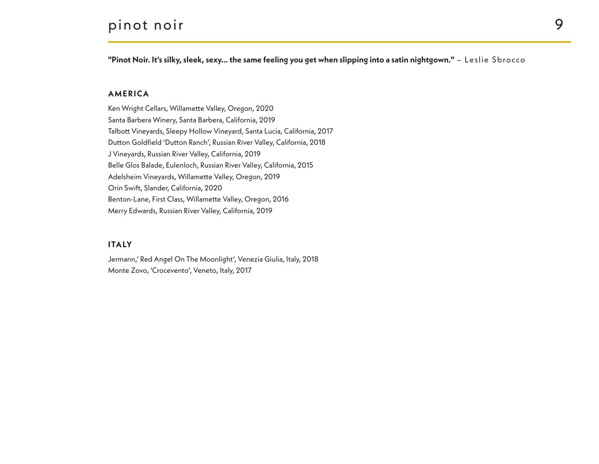## pinot noir 9

**"Pinot Noir. It's silky, sleek, sexy… the same feeling you get when slipping into a satin nightgown."** – Leslie Sbrocco

#### **AMERICA**

Ken Wright Cellars, Willamette Valley, Oregon, 2020 Santa Barbera Winery, Santa Barbera, California, 2019 Talbott Vineyards, Sleepy Hollow Vineyard, Santa Lucia, California, 2017 Dutton Goldfield 'Dutton Ranch', Russian River Valley, California, 2018 J Vineyards, Russian River Valley, California, 2019 Belle Glos Balade, Eulenloch, Russian River Valley, California, 2015 Adelsheim Vineyards, Willamette Valley, Oregon, 2019 Orin Swift, Slander, California, 2020 Benton-Lane, First Class, Willamette Valley, Oregon, 2016 Merry Edwards, Russian River Valley, California, 2019

#### **I TA LY**

Jermann,' Red Angel On The Moonlight', Venezia Giulia, Italy, 2018 Monte Zovo, 'Crocevento', Veneto, Italy, 2017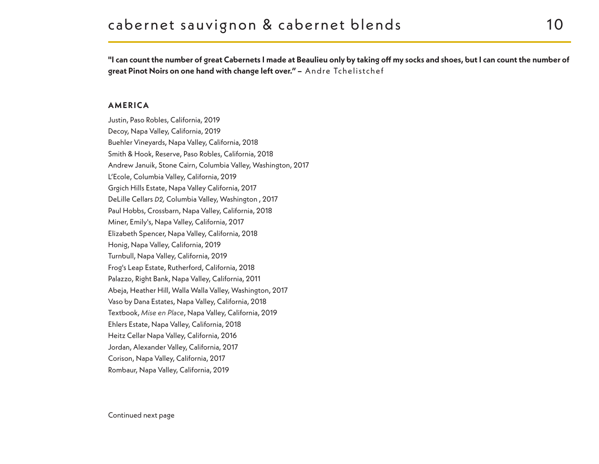**"I can count the number of great Cabernets I made at Beaulieu only by taking off my socks and shoes, but I can count the number of great Pinot Noirs on one hand with change left over." –** Andre Tchelistchef

#### **AMERICA**

Justin, Paso Robles, California, 2019 Decoy, Napa Valley, California, 2019 Buehler Vineyards, Napa Valley, California, 2018 Smith & Hook, Reserve, Paso Robles, California, 2018 Andrew Januik, Stone Cairn, Columbia Valley, Washington, 2017 L'Ecole, Columbia Valley, California, 2019 Grgich Hills Estate, Napa Valley California, 2017 DeLille Cellars *D2,* Columbia Valley, Washington , 2017 Paul Hobbs, Crossbarn, Napa Valley, California, 2018 Miner, Emily's, Napa Valley, California, 2017 Elizabeth Spencer, Napa Valley, California, 2018 Honig, Napa Valley, California, 2019 Turnbull, Napa Valley, California, 2019 Frog's Leap Estate, Rutherford, California, 2018 Palazzo, Right Bank, Napa Valley, California, 2011 Abeja, Heather Hill, Walla Walla Valley, Washington, 2017 Vaso by Dana Estates, Napa Valley, California, 2018 Textbook, *Mise en Place*, Napa Valley, California, 2019 Ehlers Estate, Napa Valley, California, 2018 Heitz Cellar Napa Valley, California, 2016 Jordan, Alexander Valley, California, 2017 Corison, Napa Valley, California, 2017 Rombaur, Napa Valley, California, 2019

Continued next page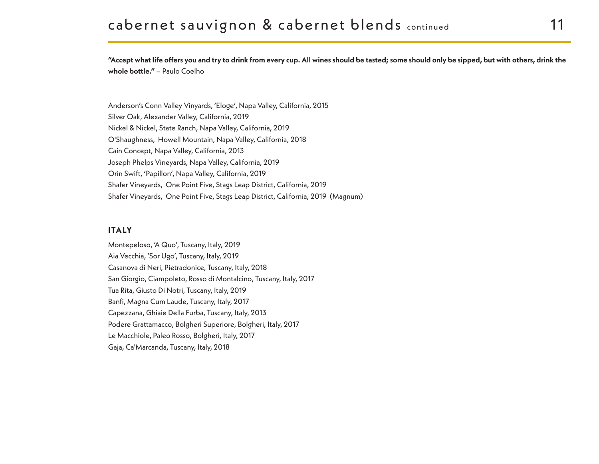**"Accept what life offers you and try to drink from every cup. All wines should be tasted; some should only be sipped, but with others, drink the**  whole bottle." - Paulo Coelho

Anderson's Conn Valley Vinyards, 'Eloge', Napa Valley, California, 2015 Silver Oak, Alexander Valley, California, 2019 Nickel & Nickel, State Ranch, Napa Valley, California, 2019 O'Shaughness, Howell Mountain, Napa Valley, California, 2018 Cain Concept, Napa Valley, California, 2013 Joseph Phelps Vineyards, Napa Valley, California, 2019 Orin Swift, 'Papillon', Napa Valley, California, 2019 Shafer Vineyards, One Point Five, Stags Leap District, California, 2019 Shafer Vineyards, One Point Five, Stags Leap District, California, 2019 (Magnum)

#### **I TA LY**

Montepeloso, 'A Quo', Tuscany, Italy, 2019 Aia Vecchia, 'Sor Ugo', Tuscany, Italy, 2019 Casanova di Neri, Pietradonice, Tuscany, Italy, 2018 San Giorgio, Ciampoleto, Rosso di Montalcino, Tuscany, Italy, 2017 Tua Rita, Giusto Di Notri, Tuscany, Italy, 2019 Banfi, Magna Cum Laude, Tuscany, Italy, 2017 Capezzana, Ghiaie Della Furba, Tuscany, Italy, 2013 Podere Grattamacco, Bolgheri Superiore, Bolgheri, Italy, 2017 Le Macchiole, Paleo Rosso, Bolgheri, Italy, 2017 Gaja, Ca'Marcanda, Tuscany, Italy, 2018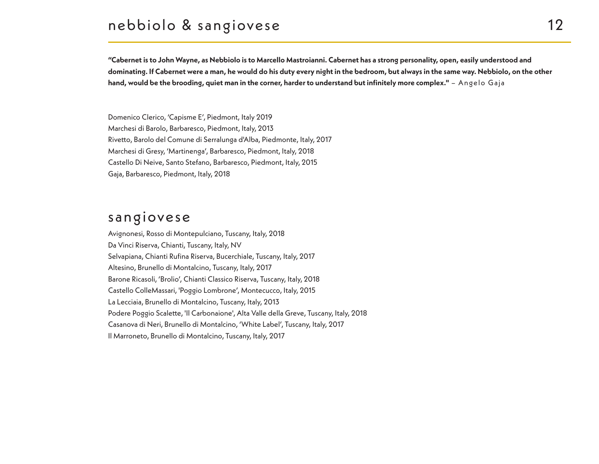## nebbiolo & sangiovese 12

**"Cabernet is to John Wayne, as Nebbiolo is to Marcello Mastroianni. Cabernet has a strong personality, open, easily understood and dominating. If Cabernet were a man, he would do his duty every night in the bedroom, but always in the same way. Nebbiolo, on the other hand, would be the brooding, quiet man in the corner, harder to understand but infinitely more complex."** – Angelo Gaja

Domenico Clerico, 'Capisme E', Piedmont, Italy 2019 Marchesi di Barolo, Barbaresco, Piedmont, Italy, 2013 Rivetto, Barolo del Comune di Serralunga d'Alba, Piedmonte, Italy, 2017 Marchesi di Gresy, 'Martinenga', Barbaresco, Piedmont, Italy, 2018 Castello Di Neive, Santo Stefano, Barbaresco, Piedmont, Italy, 2015 Gaja, Barbaresco, Piedmont, Italy, 2018

## sangiovese

Avignonesi, Rosso di Montepulciano, Tuscany, Italy, 2018 Da Vinci Riserva, Chianti, Tuscany, Italy, NV Selvapiana, Chianti Rufina Riserva, Bucerchiale, Tuscany, Italy, 2017 Altesino, Brunello di Montalcino, Tuscany, Italy, 2017 Barone Ricasoli, 'Brolio', Chianti Classico Riserva, Tuscany, Italy, 2018 Castello ColleMassari, 'Poggio Lombrone', Montecucco, Italy, 2015 La Lecciaia, Brunello di Montalcino, Tuscany, Italy, 2013 Podere Poggio Scalette, 'Il Carbonaione', Alta Valle della Greve, Tuscany, Italy, 2018 Casanova di Neri, Brunello di Montalcino, 'White Label', Tuscany, Italy, 2017 Il Marroneto, Brunello di Montalcino, Tuscany, Italy, 2017